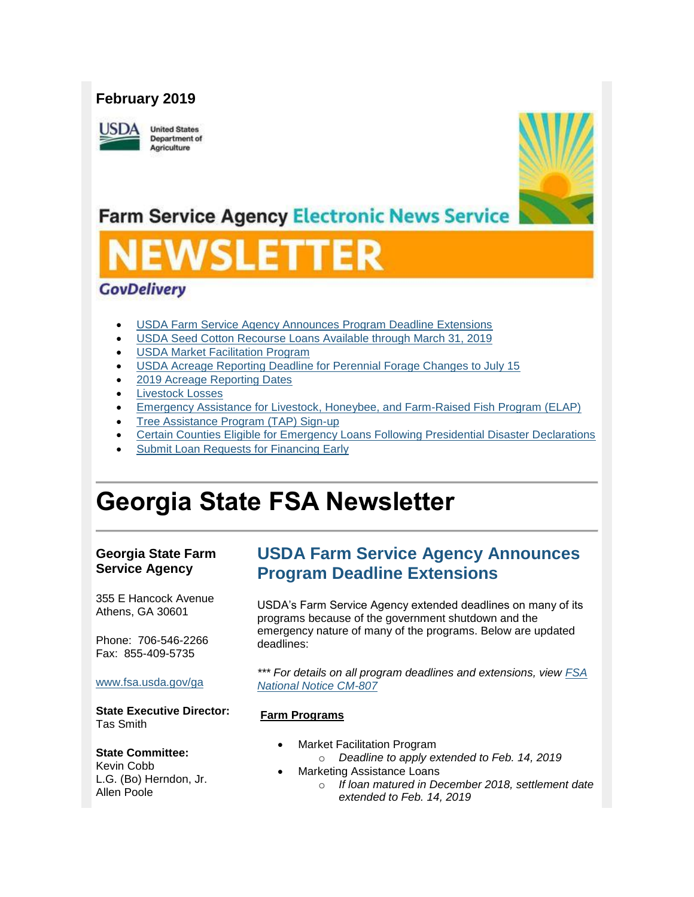## **February 2019**

**ISDA** 

**United States Department of** Agriculture



## **Farm Service Agency Electronic News Service**

# VSLET

### **GovDelivery**

- [USDA Farm Service Agency Announces Program Deadline Extensions](#page-0-0)
- [USDA Seed Cotton Recourse Loans Available through March 31, 2019](#page-1-0)
- [USDA Market Facilitation Program](#page-2-0)
- [USDA Acreage Reporting Deadline for Perennial Forage Changes to July 15](#page-2-1)
- [2019 Acreage Reporting Dates](#page-3-0)
- **[Livestock Losses](#page-3-1)**
- [Emergency Assistance for Livestock, Honeybee, and Farm-Raised Fish Program \(ELAP\)](#page-4-0)
- [Tree Assistance Program \(TAP\) Sign-up](#page-5-0)
- [Certain Counties Eligible for Emergency Loans Following Presidential Disaster Declarations](#page-5-1)
- Submit Loan Requests for Financing Early

## **Georgia State FSA Newsletter**

#### **Georgia State Farm Service Agency**

355 E Hancock Avenue Athens, GA 30601

Phone: 706-546-2266 Fax: 855-409-5735

#### [www.fsa.usda.gov/ga](http://www.fsa.usda.gov/xx?utm_medium=email&utm_source=govdelivery)

**State Executive Director:** Tas Smith

#### **State Committee:**

Kevin Cobb L.G. (Bo) Herndon, Jr. Allen Poole

## <span id="page-0-0"></span>**USDA Farm Service Agency Announces Program Deadline Extensions**

USDA's Farm Service Agency extended deadlines on many of its programs because of the government shutdown and the emergency nature of many of the programs. Below are updated deadlines:

*\*\*\* For details on all program deadlines and extensions, view [FSA](https://www.fsa.usda.gov/Internet/FSA_Notice/cm_807.pdf?utm_medium=email&utm_source=govdelivery)  [National Notice CM-807](https://www.fsa.usda.gov/Internet/FSA_Notice/cm_807.pdf?utm_medium=email&utm_source=govdelivery)*

#### **Farm Programs**

- **Market Facilitation Program** 
	- o *Deadline to apply extended to Feb. 14, 2019*
	- Marketing Assistance Loans
		- o *If loan matured in December 2018, settlement date extended to Feb. 14, 2019*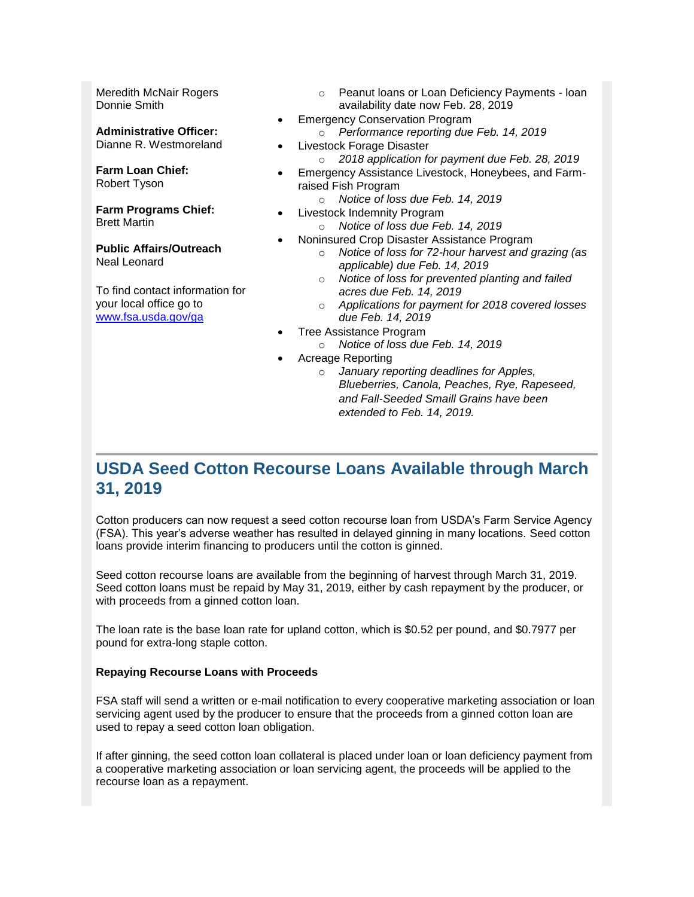Meredith McNair Rogers Donnie Smith

**Administrative Officer:** Dianne R. Westmoreland

**Farm Loan Chief:** Robert Tyson

**Farm Programs Chief:** Brett Martin

**Public Affairs/Outreach** Neal Leonard

To find contact information for your local office go to [www.fsa.usda.gov/ga](http://www.fsa.usda.gov/ga)

- o Peanut loans or Loan Deficiency Payments loan availability date now Feb. 28, 2019
- Emergency Conservation Program
	- o *Performance reporting due Feb. 14, 2019*
- Livestock Forage Disaster
	- o *2018 application for payment due Feb. 28, 2019*
- Emergency Assistance Livestock, Honeybees, and Farmraised Fish Program
	- o *Notice of loss due Feb. 14, 2019*
- Livestock Indemnity Program
	- o *Notice of loss due Feb. 14, 2019*
- Noninsured Crop Disaster Assistance Program
	- o *Notice of loss for 72-hour harvest and grazing (as applicable) due Feb. 14, 2019*
	- o *Notice of loss for prevented planting and failed acres due Feb. 14, 2019*
	- o *Applications for payment for 2018 covered losses due Feb. 14, 2019*
	- Tree Assistance Program
		- o *Notice of loss due Feb. 14, 2019*
- Acreage Reporting
	- o *January reporting deadlines for Apples, Blueberries, Canola, Peaches, Rye, Rapeseed, and Fall-Seeded Smaill Grains have been extended to Feb. 14, 2019.*

## <span id="page-1-0"></span>**USDA Seed Cotton Recourse Loans Available through March 31, 2019**

Cotton producers can now request a seed cotton recourse loan from USDA's Farm Service Agency (FSA). This year's adverse weather has resulted in delayed ginning in many locations. Seed cotton loans provide interim financing to producers until the cotton is ginned.

Seed cotton recourse loans are available from the beginning of harvest through March 31, 2019. Seed cotton loans must be repaid by May 31, 2019, either by cash repayment by the producer, or with proceeds from a ginned cotton loan.

The loan rate is the base loan rate for upland cotton, which is \$0.52 per pound, and \$0.7977 per pound for extra-long staple cotton.

#### **Repaying Recourse Loans with Proceeds**

FSA staff will send a written or e-mail notification to every cooperative marketing association or loan servicing agent used by the producer to ensure that the proceeds from a ginned cotton loan are used to repay a seed cotton loan obligation.

If after ginning, the seed cotton loan collateral is placed under loan or loan deficiency payment from a cooperative marketing association or loan servicing agent, the proceeds will be applied to the recourse loan as a repayment.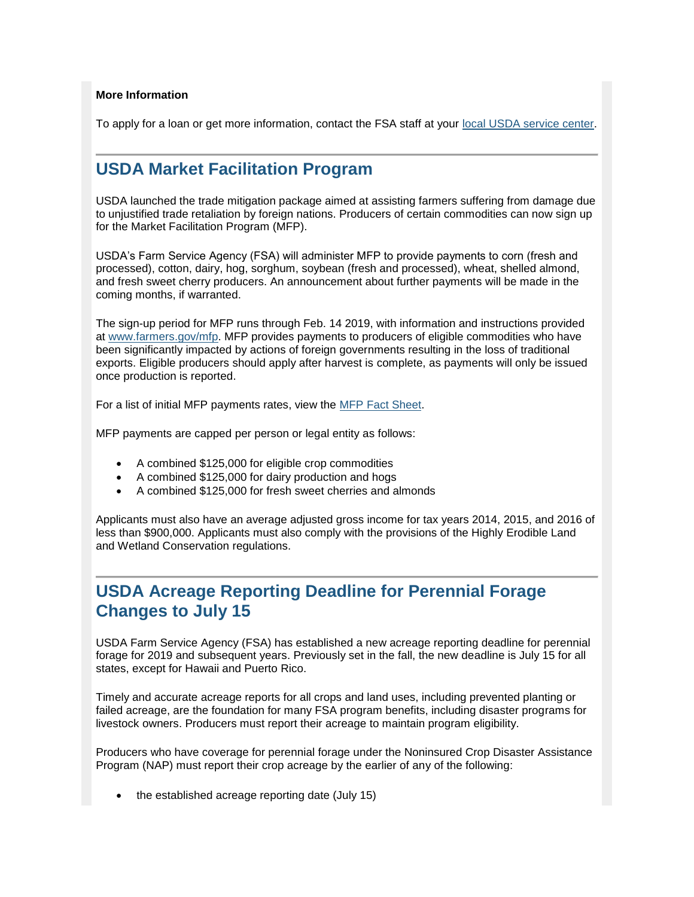#### **More Information**

To apply for a loan or get more information, contact the FSA staff at your [local USDA service center.](https://www.farmers.gov/service-locator?field_counties_served_target_id=All&utm_medium=email&utm_source=govdelivery)

## <span id="page-2-0"></span>**USDA Market Facilitation Program**

USDA launched the trade mitigation package aimed at assisting farmers suffering from damage due to unjustified trade retaliation by foreign nations. Producers of certain commodities can now sign up for the Market Facilitation Program (MFP).

USDA's Farm Service Agency (FSA) will administer MFP to provide payments to corn (fresh and processed), cotton, dairy, hog, sorghum, soybean (fresh and processed), wheat, shelled almond, and fresh sweet cherry producers. An announcement about further payments will be made in the coming months, if warranted.

The sign-up period for MFP runs through Feb. 14 2019, with information and instructions provided at [www.farmers.gov/mfp.](http://links.govdelivery.com/track?type=click&enid=ZWFzPTEmbWFpbGluZ2lkPTIwMTgwOTA0Ljk0NDE3NjQxJm1lc3NhZ2VpZD1NREItUFJELUJVTC0yMDE4MDkwNC45NDQxNzY0MSZkYXRhYmFzZWlkPTEwMDEmc2VyaWFsPTE4MDA0MDA0JmVtYWlsaWQ9Y2Fzc2llLmJhYmxlQHR4LnVzZGEuZ292JnVzZXJpZD1jYXNzaWUuYmFibGVAdHgudXNkYS5nb3YmZmw9JmV4dHJhPU11bHRpdmFyaWF0ZUlkPSYmJg==&&&103&&&http://www.farmers.gov/mfp) MFP provides payments to producers of eligible commodities who have been significantly impacted by actions of foreign governments resulting in the loss of traditional exports. Eligible producers should apply after harvest is complete, as payments will only be issued once production is reported.

For a list of initial MFP payments rates, view the [MFP Fact Sheet.](https://www.fsa.usda.gov/Assets/USDA-FSA-Public/usdafiles/FactSheets/2018/Market_Facilitation_Program_Fact_Sheet_September_2018C.pdf?utm_medium=email&utm_source=govdelivery)

MFP payments are capped per person or legal entity as follows:

- A combined \$125,000 for eligible crop commodities
- A combined \$125,000 for dairy production and hogs
- A combined \$125,000 for fresh sweet cherries and almonds

Applicants must also have an average adjusted gross income for tax years 2014, 2015, and 2016 of less than \$900,000. Applicants must also comply with the provisions of the Highly Erodible Land and Wetland Conservation regulations.

## <span id="page-2-1"></span>**USDA Acreage Reporting Deadline for Perennial Forage Changes to July 15**

USDA Farm Service Agency (FSA) has established a new acreage reporting deadline for perennial forage for 2019 and subsequent years. Previously set in the fall, the new deadline is July 15 for all states, except for Hawaii and Puerto Rico.

Timely and accurate acreage reports for all crops and land uses, including prevented planting or failed acreage, are the foundation for many FSA program benefits, including disaster programs for livestock owners. Producers must report their acreage to maintain program eligibility.

Producers who have coverage for perennial forage under the Noninsured Crop Disaster Assistance Program (NAP) must report their crop acreage by the earlier of any of the following:

• the established acreage reporting date (July 15)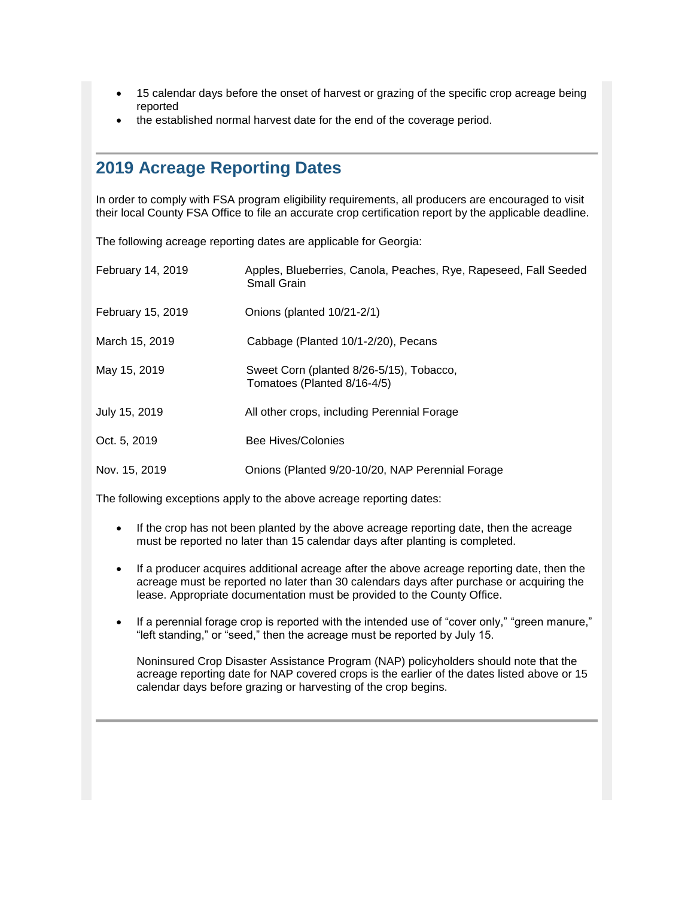- 15 calendar days before the onset of harvest or grazing of the specific crop acreage being reported
- the established normal harvest date for the end of the coverage period.

## <span id="page-3-0"></span>**2019 Acreage Reporting Dates**

In order to comply with FSA program eligibility requirements, all producers are encouraged to visit their local County FSA Office to file an accurate crop certification report by the applicable deadline.

The following acreage reporting dates are applicable for Georgia:

| <b>February 14, 2019</b> | Apples, Blueberries, Canola, Peaches, Rye, Rapeseed, Fall Seeded<br><b>Small Grain</b> |
|--------------------------|----------------------------------------------------------------------------------------|
| February 15, 2019        | Onions (planted 10/21-2/1)                                                             |
| March 15, 2019           | Cabbage (Planted 10/1-2/20), Pecans                                                    |
| May 15, 2019             | Sweet Corn (planted 8/26-5/15), Tobacco,<br>Tomatoes (Planted 8/16-4/5)                |
| July 15, 2019            | All other crops, including Perennial Forage                                            |
| Oct. 5, 2019             | Bee Hives/Colonies                                                                     |
| Nov. 15, 2019            | Onions (Planted 9/20-10/20, NAP Perennial Forage                                       |

The following exceptions apply to the above acreage reporting dates:

- If the crop has not been planted by the above acreage reporting date, then the acreage must be reported no later than 15 calendar days after planting is completed.
- If a producer acquires additional acreage after the above acreage reporting date, then the acreage must be reported no later than 30 calendars days after purchase or acquiring the lease. Appropriate documentation must be provided to the County Office.
- If a perennial forage crop is reported with the intended use of "cover only," "green manure," "left standing," or "seed," then the acreage must be reported by July 15.

<span id="page-3-1"></span>Noninsured Crop Disaster Assistance Program (NAP) policyholders should note that the acreage reporting date for NAP covered crops is the earlier of the dates listed above or 15 calendar days before grazing or harvesting of the crop begins.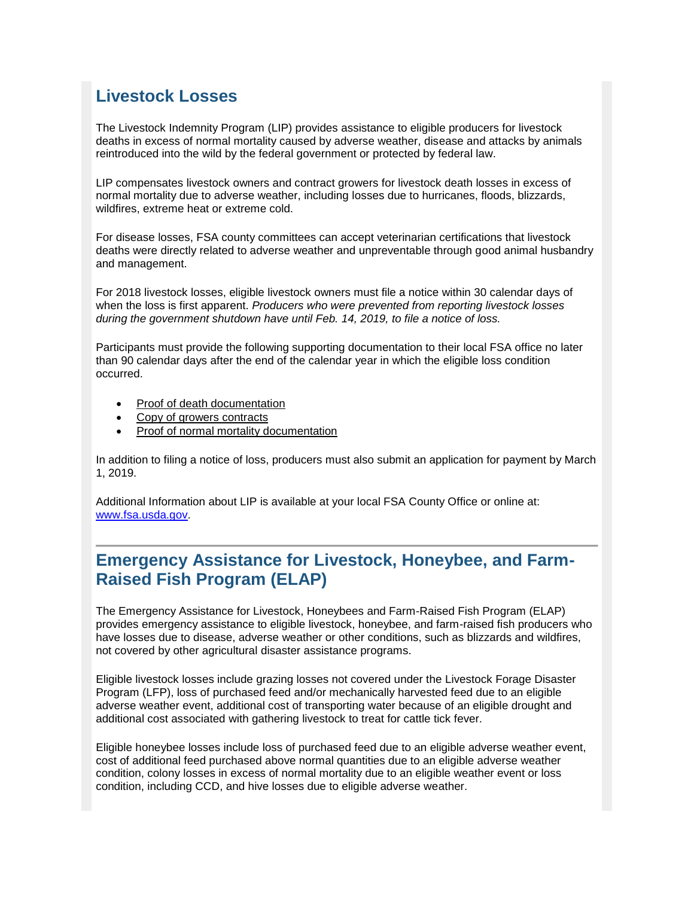## **Livestock Losses**

The Livestock Indemnity Program (LIP) provides assistance to eligible producers for livestock deaths in excess of normal mortality caused by adverse weather, disease and attacks by animals reintroduced into the wild by the federal government or protected by federal law.

LIP compensates livestock owners and contract growers for livestock death losses in excess of normal mortality due to adverse weather, including losses due to hurricanes, floods, blizzards, wildfires, extreme heat or extreme cold.

For disease losses, FSA county committees can accept veterinarian certifications that livestock deaths were directly related to adverse weather and unpreventable through good animal husbandry and management.

For 2018 livestock losses, eligible livestock owners must file a notice within 30 calendar days of when the loss is first apparent. *Producers who were prevented from reporting livestock losses during the government shutdown have until Feb. 14, 2019, to file a notice of loss.*

Participants must provide the following supporting documentation to their local FSA office no later than 90 calendar days after the end of the calendar year in which the eligible loss condition occurred.

- Proof of death documentation
- Copy of growers contracts
- Proof of normal mortality documentation

In addition to filing a notice of loss, producers must also submit an application for payment by March 1, 2019.

Additional Information about LIP is available at your local FSA County Office or online at: [www.fsa.usda.gov.](http://www.fsa.usda.gov/)

## <span id="page-4-0"></span>**Emergency Assistance for Livestock, Honeybee, and Farm-Raised Fish Program (ELAP)**

The Emergency Assistance for Livestock, Honeybees and Farm-Raised Fish Program (ELAP) provides emergency assistance to eligible livestock, honeybee, and farm-raised fish producers who have losses due to disease, adverse weather or other conditions, such as blizzards and wildfires, not covered by other agricultural disaster assistance programs.

Eligible livestock losses include grazing losses not covered under the Livestock Forage Disaster Program (LFP), loss of purchased feed and/or mechanically harvested feed due to an eligible adverse weather event, additional cost of transporting water because of an eligible drought and additional cost associated with gathering livestock to treat for cattle tick fever.

Eligible honeybee losses include loss of purchased feed due to an eligible adverse weather event, cost of additional feed purchased above normal quantities due to an eligible adverse weather condition, colony losses in excess of normal mortality due to an eligible weather event or loss condition, including CCD, and hive losses due to eligible adverse weather.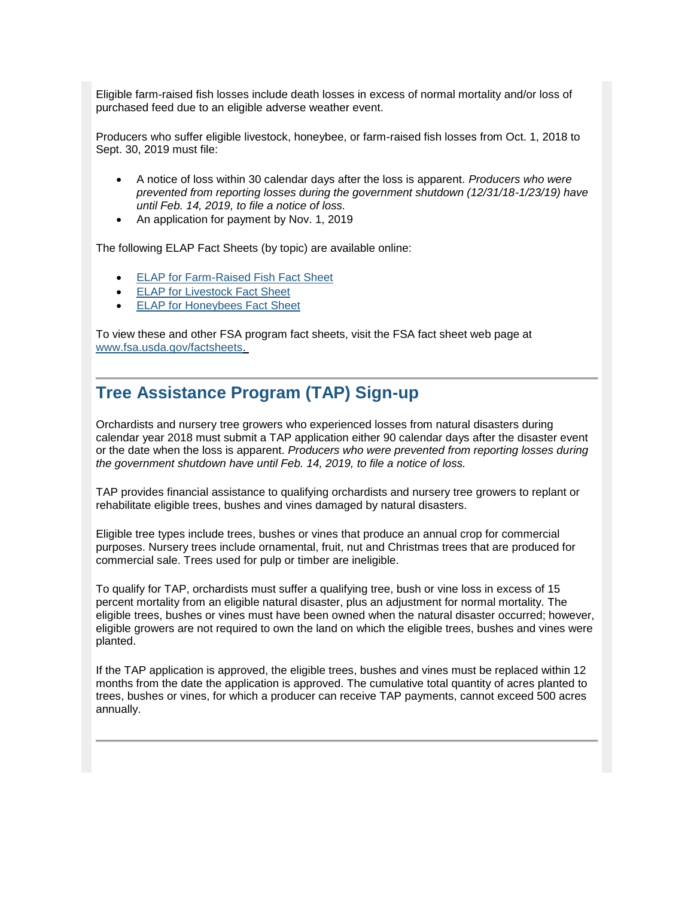Eligible farm-raised fish losses include death losses in excess of normal mortality and/or loss of purchased feed due to an eligible adverse weather event.

Producers who suffer eligible livestock, honeybee, or farm-raised fish losses from Oct. 1, 2018 to Sept. 30, 2019 must file:

- A notice of loss within 30 calendar days after the loss is apparent. *Producers who were prevented from reporting losses during the government shutdown (12/31/18-1/23/19) have until Feb. 14, 2019, to file a notice of loss.*
- An application for payment by Nov. 1, 2019

The following ELAP Fact Sheets (by topic) are available online:

- [ELAP for Farm-Raised Fish Fact Sheet](https://www.fsa.usda.gov/Assets/USDA-FSA-Public/usdafiles/FactSheets/2018/elap_farm-raised_fish_assistance_fact_sheet-may_2018.pdf?utm_medium=email&utm_source=govdelivery)
- **[ELAP for Livestock Fact Sheet](https://www.fsa.usda.gov/Assets/USDA-FSA-Public/usdafiles/FactSheets/2018/elap_livestock_assistance_fact_sheet-may_2018.pdf?utm_medium=email&utm_source=govdelivery)**
- **[ELAP for Honeybees Fact Sheet](https://www.fsa.usda.gov/Assets/USDA-FSA-Public/usdafiles/FactSheets/2018/elap_honeybee_assistance_fact_sheet-may_2018.pdf?utm_medium=email&utm_source=govdelivery)**

To view these and other FSA program fact sheets, visit the FSA fact sheet web page at [www.fsa.usda.gov/factsheets.](http://www.fsa.usda.gov/factsheets?utm_medium=email&utm_source=govdelivery)

## <span id="page-5-0"></span>**Tree Assistance Program (TAP) Sign-up**

Orchardists and nursery tree growers who experienced losses from natural disasters during calendar year 2018 must submit a TAP application either 90 calendar days after the disaster event or the date when the loss is apparent. *Producers who were prevented from reporting losses during the government shutdown have until Feb. 14, 2019, to file a notice of loss.* 

TAP provides financial assistance to qualifying orchardists and nursery tree growers to replant or rehabilitate eligible trees, bushes and vines damaged by natural disasters.

Eligible tree types include trees, bushes or vines that produce an annual crop for commercial purposes. Nursery trees include ornamental, fruit, nut and Christmas trees that are produced for commercial sale. Trees used for pulp or timber are ineligible.

To qualify for TAP, orchardists must suffer a qualifying tree, bush or vine loss in excess of 15 percent mortality from an eligible natural disaster, plus an adjustment for normal mortality. The eligible trees, bushes or vines must have been owned when the natural disaster occurred; however, eligible growers are not required to own the land on which the eligible trees, bushes and vines were planted.

<span id="page-5-1"></span>If the TAP application is approved, the eligible trees, bushes and vines must be replaced within 12 months from the date the application is approved. The cumulative total quantity of acres planted to trees, bushes or vines, for which a producer can receive TAP payments, cannot exceed 500 acres annually.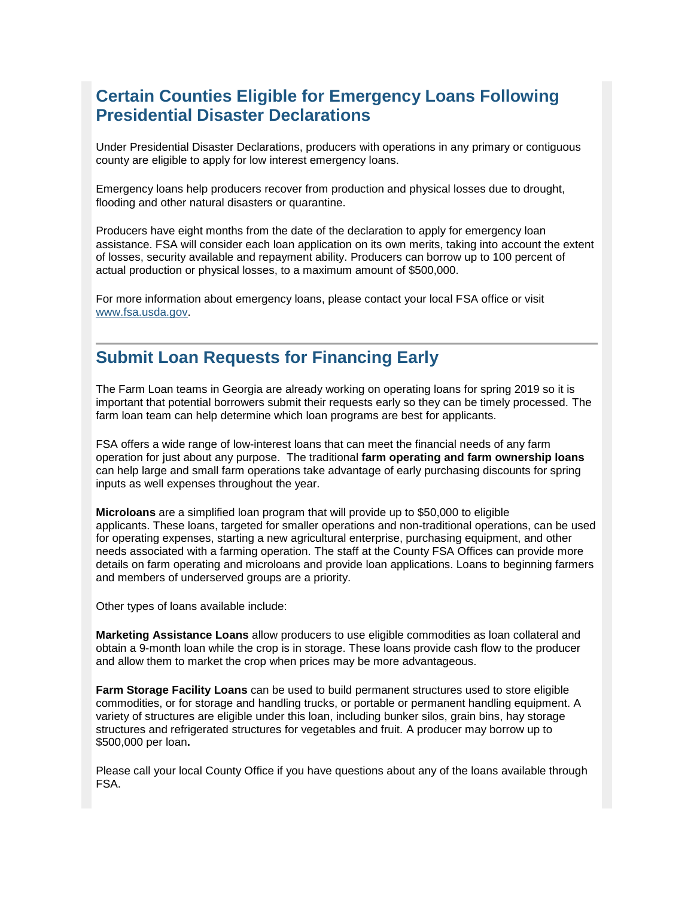## **Certain Counties Eligible for Emergency Loans Following Presidential Disaster Declarations**

Under Presidential Disaster Declarations, producers with operations in any primary or contiguous county are eligible to apply for low interest emergency loans.

Emergency loans help producers recover from production and physical losses due to drought, flooding and other natural disasters or quarantine.

Producers have eight months from the date of the declaration to apply for emergency loan assistance. FSA will consider each loan application on its own merits, taking into account the extent of losses, security available and repayment ability. Producers can borrow up to 100 percent of actual production or physical losses, to a maximum amount of \$500,000.

For more information about emergency loans, please contact your local FSA office or visit [www.fsa.usda.gov.](http://www.fsa.usda.gov/?utm_medium=email&utm_source=govdelivery)

## <span id="page-6-0"></span>**Submit Loan Requests for Financing Early**

The Farm Loan teams in Georgia are already working on operating loans for spring 2019 so it is important that potential borrowers submit their requests early so they can be timely processed. The farm loan team can help determine which loan programs are best for applicants.

FSA offers a wide range of low-interest loans that can meet the financial needs of any farm operation for just about any purpose. The traditional **farm operating and farm ownership loans** can help large and small farm operations take advantage of early purchasing discounts for spring inputs as well expenses throughout the year.

**Microloans** are a simplified loan program that will provide up to \$50,000 to eligible applicants. These loans, targeted for smaller operations and non-traditional operations, can be used for operating expenses, starting a new agricultural enterprise, purchasing equipment, and other needs associated with a farming operation. The staff at the County FSA Offices can provide more details on farm operating and microloans and provide loan applications. Loans to beginning farmers and members of underserved groups are a priority.

Other types of loans available include:

**Marketing Assistance Loans** allow producers to use eligible commodities as loan collateral and obtain a 9-month loan while the crop is in storage. These loans provide cash flow to the producer and allow them to market the crop when prices may be more advantageous.

**Farm Storage Facility Loans** can be used to build permanent structures used to store eligible commodities, or for storage and handling trucks, or portable or permanent handling equipment. A variety of structures are eligible under this loan, including bunker silos, grain bins, hay storage structures and refrigerated structures for vegetables and fruit. A producer may borrow up to \$500,000 per loan**.**

Please call your local County Office if you have questions about any of the loans available through FSA.